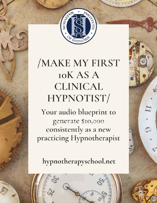

# **MAKE MY FIRST IOK AS A CLINICAL** HYPNOTIST/

Your audio blueprint to generate \$10,000 consistently as a new practicing Hypnotherapist

hypnotherapyschool.net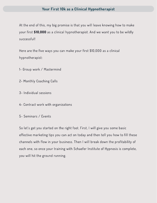At the end of this, my big promise is that you will leave knowing how to make your first \$10,000 as a clinical hypnotherapist. And we want you to be wildly successful!

Here are the five ways you can make your first \$10,000 as a clinical hypnotherapist:

- 1- Group work / Mastermind
- 2- Monthly Coaching Calls
- 3- Individual sessions
- 4- Contract work with organizations
- 5- Seminars / Events

So let's get you started on the right foot. First, I will give you some basic effective marketing tips you can act on today and then tell you how to fill these channels with flow in your business. Then I will break down the profitability of each one, so once your training with Schaefer Institute of Hypnosis is complete, you will hit the ground running.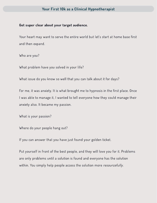#### Get super clear about your target audience.

Your heart may want to serve the entire world but let's start at home base first and then expand.

Who are you?

What problem have you solved in your life?

What issue do you know so well that you can talk about it for days?

For me, it was anxiety. It is what brought me to hypnosis in the first place. Once I was able to manage it, I wanted to tell everyone how they could manage their anxiety also. It became my passion.

What is your passion?

Where do your people hang out?

If you can answer that you have just found your golden ticket.

Put yourself in front of the best people, and they will love you for it. Problems are only problems until a solution is found and everyone has the solution within. You simply help people access the solution more resourcefully.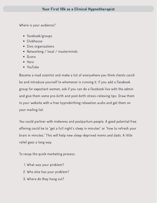Where is your audience?

- Facebook/groups
- Clubhouse
- Civic organizations
- Networking / local / masterminds
- Quora
- Haro
- YouTube

Become a mad scientist and make a list of everywhere you think clients could be and introduce yourself to whomever is running it. If you add a Facebook group for expectant women, ask if you can do a Facebook live with the admin and give them some pre-birth and post-birth stress-relieving tips. Draw them to your website with a free hypnobirthing relaxation audio and get them on your mailing list.

You could partner with midwives and postpartum people. A good potential free offering could be to "get a full night's sleep in minutes" or "how to refresh your brain in minutes." This will help new sleep-deprived moms and dads. A little relief goes a long way.

To recap the quick marketing process:

- 1. What was your problem?
- 2. Who else has your problem?
- 3. Where do they hang out?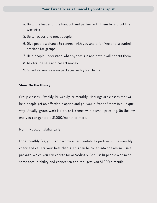- 4. Go to the leader of the hangout and partner with them to find out the win-win?
- 5. Be tenacious and meet people
- 6. Give people a chance to connect with you and offer free or discounted sessions for groups.
- 7. Help people understand what hypnosis is and how it will benefit them.
- 8. Ask for the sale and collect money
- 9. Schedule your session packages with your clients

#### Show Me the Money!

Group classes - Weekly, bi-weekly, or monthly. Meetings are classes that will help people get an affordable option and get you in front of them in a unique way. Usually, group work is free, or it comes with a small price tag. On the low end you can generate \$1,000/month or more.

#### Monthly accountability calls

For a monthly fee, you can become an accountability partner with a monthly check and call for your best clients. This can be rolled into one all-inclusive package, which you can charge for accordingly. Get just 10 people who need some accountability and connection and that gets you \$1,000 a month.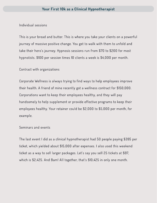Individual sessions

This is your bread and butter. This is where you take your clients on a powerful journey of massive positive change. You get to walk with them to unfold and take their hero's journey. Hypnosis sessions run from \$70 to \$200 for most hypnotists. \$100 per session times 10 clients a week is \$4,000 per month.

Contract with organizations

Corporate Wellness is always trying to find ways to help employees improve their health. A friend of mine recently got a wellness contract for \$150,000. Corporations want to keep their employees healthy, and they will pay handsomely to help supplement or provide effective programs to keep their employees healthy. Your retainer could be \$2,000 to \$5,000 per month, for example.

Seminars and events

The last event I did as a clinical hypnotherapist had 50 people paying \$395 per ticket, which yielded about \$15,000 after expenses. I also used this weekend ticket as a way to sell larger packages. Let's say you sell 25 tickets at \$97, which is \$2,425. And Bam! All together, that's \$10,425 in only one month.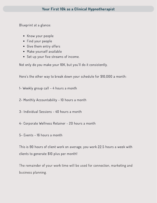Blueprint at a glance:

- Know your people
- Find your people
- Give them entry offers
- Make yourself available
- Set up your five streams of income.

Not only do you make your 10K, but you'll do it consistently.

Here's the other way to break down your schedule for \$10,000 a month:

1- Weekly group call – 4 hours a month

2- Monthly Accountability - 10 hours a month

3- Individual Sessions - 40 hours a month

- 4- Corporate Wellness Retainer 20 hours a month
- 5- Events 16 hours a month

This is 90 hours of client work on average, you work 22.5 hours a week with clients to generate \$10 plus per month!

The remainder of your work time will be used for connection, marketing and business planning.